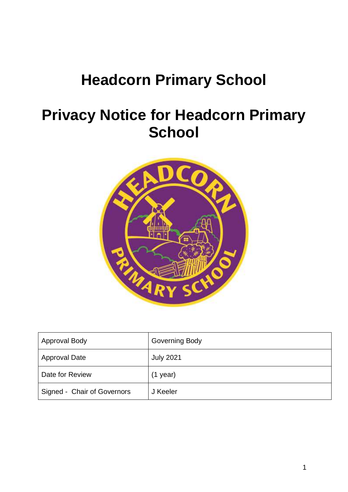# **Headcorn Primary School**

# **Privacy Notice for Headcorn Primary School**



| <b>Approval Body</b>        | <b>Governing Body</b> |
|-----------------------------|-----------------------|
| <b>Approval Date</b>        | <b>July 2021</b>      |
| Date for Review             | $(1$ year)            |
| Signed - Chair of Governors | J Keeler              |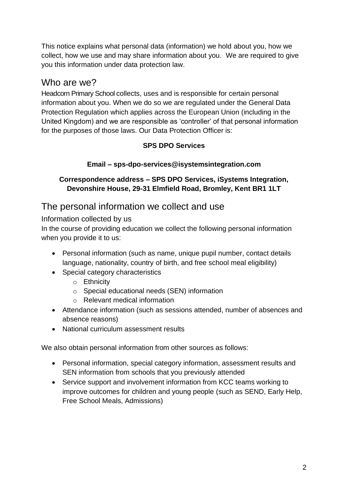This notice explains what personal data (information) we hold about you, how we collect, how we use and may share information about you. We are required to give you this information under data protection law.

### Who are we?

Headcorn Primary School collects, uses and is responsible for certain personal information about you. When we do so we are regulated under the General Data Protection Regulation which applies across the European Union (including in the United Kingdom) and we are responsible as 'controller' of that personal information for the purposes of those laws. Our Data Protection Officer is:

#### **SPS DPO Services**

#### **Email – sps-dpo-services@isystemsintegration.com**

#### **Correspondence address – SPS DPO Services, iSystems Integration, Devonshire House, 29-31 Elmfield Road, Bromley, Kent BR1 1LT**

### The personal information we collect and use

Information collected by us

In the course of providing education we collect the following personal information when you provide it to us:

- Personal information (such as name, unique pupil number, contact details language, nationality, country of birth, and free school meal eligibility)
- Special category characteristics
	- o Ethnicity
	- o Special educational needs (SEN) information
	- o Relevant medical information
- Attendance information (such as sessions attended, number of absences and absence reasons)
- National curriculum assessment results

We also obtain personal information from other sources as follows:

- Personal information, special category information, assessment results and SEN information from schools that you previously attended
- Service support and involvement information from KCC teams working to improve outcomes for children and young people (such as SEND, Early Help, Free School Meals, Admissions)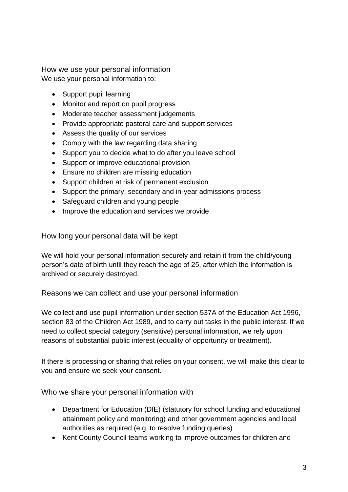How we use your personal information We use your personal information to:

- Support pupil learning
- Monitor and report on pupil progress
- Moderate teacher assessment judgements
- Provide appropriate pastoral care and support services
- Assess the quality of our services
- Comply with the law regarding data sharing
- Support you to decide what to do after you leave school
- Support or improve educational provision
- Ensure no children are missing education
- Support children at risk of permanent exclusion
- Support the primary, secondary and in-year admissions process
- Safeguard children and young people
- Improve the education and services we provide

How long your personal data will be kept

We will hold your personal information securely and retain it from the child/young person's date of birth until they reach the age of 25, after which the information is archived or securely destroyed.

Reasons we can collect and use your personal information

We collect and use pupil information under section 537A of the Education Act 1996, section 83 of the Children Act 1989, and to carry out tasks in the public interest. If we need to collect special category (sensitive) personal information, we rely upon reasons of substantial public interest (equality of opportunity or treatment).

If there is processing or sharing that relies on your consent, we will make this clear to you and ensure we seek your consent.

Who we share your personal information with

- Department for Education (DfE) (statutory for school funding and educational attainment policy and monitoring) and other government agencies and local authorities as required (e.g. to resolve funding queries)
- Kent County Council teams working to improve outcomes for children and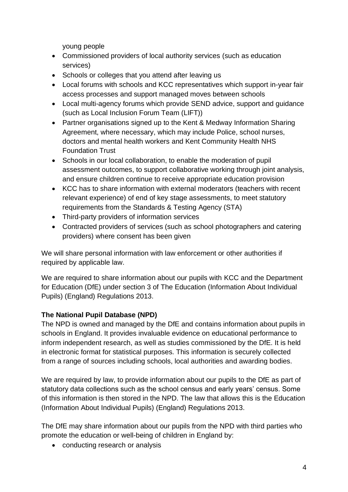young people

- Commissioned providers of local authority services (such as education services)
- Schools or colleges that you attend after leaving us
- Local forums with schools and KCC representatives which support in-year fair access processes and support managed moves between schools
- Local multi-agency forums which provide SEND advice, support and guidance (such as Local Inclusion Forum Team (LIFT))
- Partner organisations signed up to the Kent & Medway Information Sharing Agreement, where necessary, which may include Police, school nurses, doctors and mental health workers and Kent Community Health NHS Foundation Trust
- Schools in our local collaboration, to enable the moderation of pupil assessment outcomes, to support collaborative working through joint analysis, and ensure children continue to receive appropriate education provision
- KCC has to share information with external moderators (teachers with recent relevant experience) of end of key stage assessments, to meet statutory requirements from the Standards & Testing Agency (STA)
- Third-party providers of information services
- Contracted providers of services (such as school photographers and catering providers) where consent has been given

We will share personal information with law enforcement or other authorities if required by applicable law.

We are required to share information about our pupils with KCC and the Department for Education (DfE) under section 3 of The Education (Information About Individual Pupils) (England) Regulations 2013.

#### **The National Pupil Database (NPD)**

The NPD is owned and managed by the DfE and contains information about pupils in schools in England. It provides invaluable evidence on educational performance to inform independent research, as well as studies commissioned by the DfE. It is held in electronic format for statistical purposes. This information is securely collected from a range of sources including schools, local authorities and awarding bodies.

We are required by law, to provide information about our pupils to the DfE as part of statutory data collections such as the school census and early years' census. Some of this information is then stored in the NPD. The law that allows this is the Education (Information About Individual Pupils) (England) Regulations 2013.

The DfE may share information about our pupils from the NPD with third parties who promote the education or well-being of children in England by:

• conducting research or analysis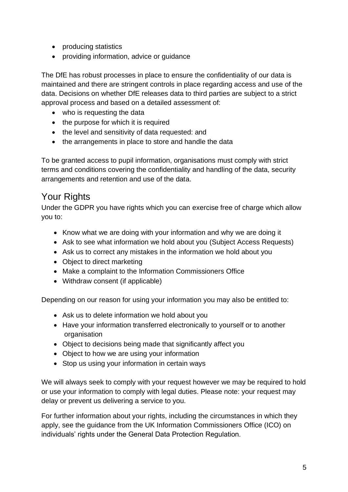- producing statistics
- providing information, advice or guidance

The DfE has robust processes in place to ensure the confidentiality of our data is maintained and there are stringent controls in place regarding access and use of the data. Decisions on whether DfE releases data to third parties are subject to a strict approval process and based on a detailed assessment of:

- who is requesting the data
- the purpose for which it is required
- the level and sensitivity of data requested: and
- the arrangements in place to store and handle the data

To be granted access to pupil information, organisations must comply with strict terms and conditions covering the confidentiality and handling of the data, security arrangements and retention and use of the data.

## Your Rights

Under the GDPR you have rights which you can exercise free of charge which allow you to:

- Know what we are doing with your information and why we are doing it
- Ask to see what information we hold about you (Subject Access Requests)
- Ask us to correct any mistakes in the information we hold about you
- Object to direct marketing
- Make a complaint to the Information Commissioners Office
- Withdraw consent (if applicable)

Depending on our reason for using your information you may also be entitled to:

- Ask us to delete information we hold about you
- Have your information transferred electronically to yourself or to another organisation
- Object to decisions being made that significantly affect you
- Object to how we are using your information
- Stop us using your information in certain ways

We will always seek to comply with your request however we may be required to hold or use your information to comply with legal duties. Please note: your request may delay or prevent us delivering a service to you.

For further information about your rights, including the circumstances in which they apply, see the guidance from the UK Information Commissioners Office (ICO) on individuals' rights under the General Data Protection Regulation.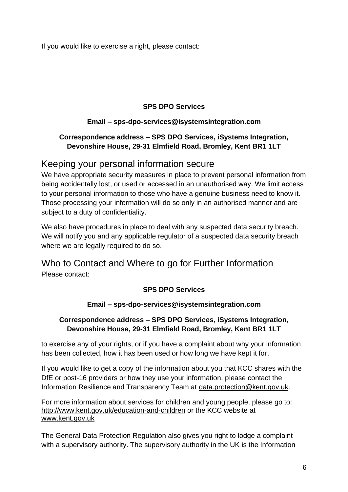If you would like to exercise a right, please contact:

#### **SPS DPO Services**

#### **Email – sps-dpo-services@isystemsintegration.com**

#### **Correspondence address – SPS DPO Services, iSystems Integration, Devonshire House, 29-31 Elmfield Road, Bromley, Kent BR1 1LT**

### Keeping your personal information secure

We have appropriate security measures in place to prevent personal information from being accidentally lost, or used or accessed in an unauthorised way. We limit access to your personal information to those who have a genuine business need to know it. Those processing your information will do so only in an authorised manner and are subject to a duty of confidentiality.

We also have procedures in place to deal with any suspected data security breach. We will notify you and any applicable regulator of a suspected data security breach where we are legally required to do so.

# Who to Contact and Where to go for Further Information

Please contact:

#### **SPS DPO Services**

#### **Email – sps-dpo-services@isystemsintegration.com**

#### **Correspondence address – SPS DPO Services, iSystems Integration, Devonshire House, 29-31 Elmfield Road, Bromley, Kent BR1 1LT**

to exercise any of your rights, or if you have a complaint about why your information has been collected, how it has been used or how long we have kept it for.

If you would like to get a copy of the information about you that KCC shares with the DfE or post-16 providers or how they use your information, please contact the Information Resilience and Transparency Team at [data.protection@kent.gov.uk.](mailto:data.protection@kent.gov.uk)

For more information about services for children and young people, please go to: <http://www.kent.gov.uk/education-and-children> or the KCC website at [www.kent.gov.uk](http://www.kent.gov.uk/)

The General Data Protection Regulation also gives you right to lodge a complaint with a supervisory authority. The supervisory authority in the UK is the Information